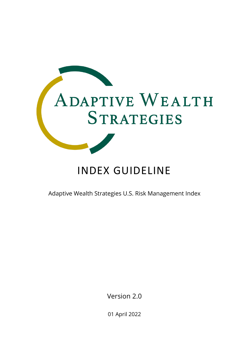

# INDEX GUIDELINE

Adaptive Wealth Strategies U.S. Risk Management Index

Version 2.0

01 April 2022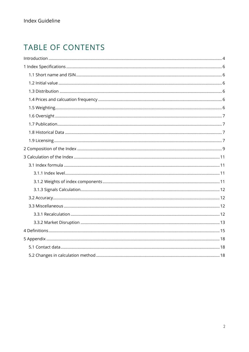## TABLE OF CONTENTS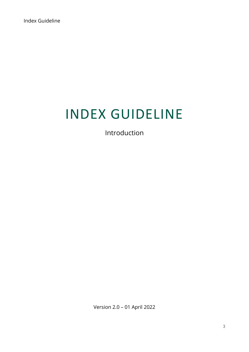# INDEX GUIDELINE

Introduction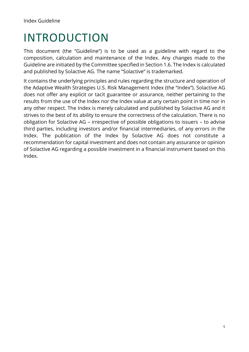# <span id="page-3-0"></span>INTRODUCTION

This document (the "Guideline") is to be used as a guideline with regard to the composition, calculation and maintenance of the Index. Any changes made to the Guideline are initiated by the Committee specified in Section 1.6. The Index is calculated and published by Solactive AG. The name "Solactive" is trademarked.

It contains the underlying principles and rules regarding the structure and operation of the Adaptive Wealth Strategies U.S. Risk Management Index (the "Index"). Solactive AG does not offer any explicit or tacit guarantee or assurance, neither pertaining to the results from the use of the Index nor the Index value at any certain point in time nor in any other respect. The Index is merely calculated and published by Solactive AG and it strives to the best of its ability to ensure the correctness of the calculation. There is no obligation for Solactive AG – irrespective of possible obligations to issuers – to advise third parties, including investors and/or financial intermediaries, of any errors in the Index. The publication of the Index by Solactive AG does not constitute a recommendation for capital investment and does not contain any assurance or opinion of Solactive AG regarding a possible investment in a financial instrument based on this Index.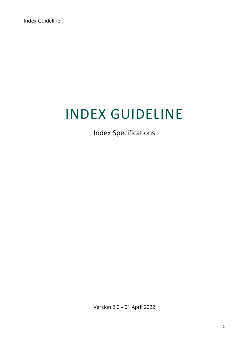# INDEX GUIDELINE

Index Specifications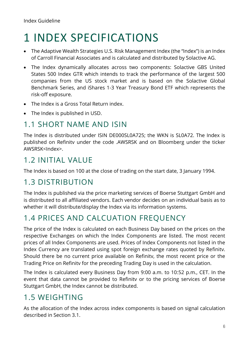# <span id="page-5-0"></span>1 INDEX SPECIFICATIONS

- The Adaptive Wealth Strategies U.S. Risk Management Index (the "Index") is an Index of Carroll Financial Associates and is calculated and distributed by Solactive AG.
- The Index dynamically allocates across two components: Solactive GBS United States 500 Index GTR which intends to track the performance of the largest 500 companies from the US stock market and is based on the Solactive Global Benchmark Series, and iShares 1-3 Year Treasury Bond ETF which represents the risk-off exposure.
- The Index is a Gross Total Return index.
- The Index is published in USD.

### <span id="page-5-1"></span>1.1 SHORT NAME AND ISIN

The Index is distributed under ISIN DE000SL0A725; the WKN is SL0A72. The Index is published on Refinitv under the code .AWSRSK and on Bloomberg under the ticker AWSRSK<Index>.

## <span id="page-5-2"></span>1.2 INITIAL VALUE

The Index is based on 100 at the close of trading on the start date, 3 January 1994.

### <span id="page-5-3"></span>1.3 DISTRIBUTION

The Index is published via the price marketing services of Boerse Stuttgart GmbH and is distributed to all affiliated vendors. Each vendor decides on an individual basis as to whether it will distribute/display the Index via its information systems.

### <span id="page-5-4"></span>1.4 PRICES AND CALCUATION FREQUENCY

The price of the Index is calculated on each Business Day based on the prices on the respective Exchanges on which the Index Components are listed. The most recent prices of all Index Components are used. Prices of Index Components not listed in the Index Currency are translated using spot foreign exchange rates quoted by Refinitv. Should there be no current price available on Refinitv, the most recent price or the Trading Price on Refinitv for the preceding Trading Day is used in the calculation.

The Index is calculated every Business Day from 9:00 a.m. to 10:52 p.m., CET. In the event that data cannot be provided to Refinitv or to the pricing services of Boerse Stuttgart GmbH, the Index cannot be distributed.

## <span id="page-5-5"></span>1.5 WEIGHTING

As the allocation of the Index across index components is based on signal calculation described in Section 3.1.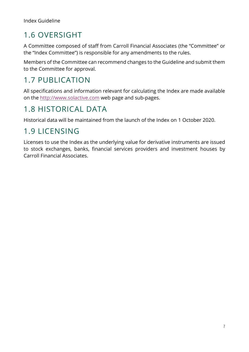## <span id="page-6-0"></span>1.6 OVERSIGHT

A Committee composed of staff from Carroll Financial Associates (the "Committee" or the "Index Committee") is responsible for any amendments to the rules.

Members of the Committee can recommend changes to the Guideline and submit them to the Committee for approval.

## <span id="page-6-1"></span>1.7 PUBLICATION

All specifications and information relevant for calculating the Index are made available on the [http://www.solactive.com](http://www.solactive.com/) web page and sub-pages.

## <span id="page-6-2"></span>1.8 HISTORICAL DATA

Historical data will be maintained from the launch of the Index on 1 October 2020.

### <span id="page-6-3"></span>1.9 LICENSING

Licenses to use the Index as the underlying value for derivative instruments are issued to stock exchanges, banks, financial services providers and investment houses by Carroll Financial Associates.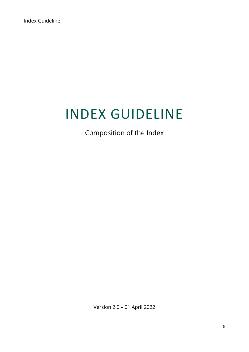# INDEX GUIDELINE

Composition of the Index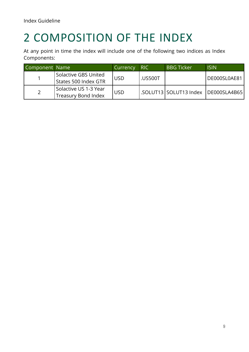# <span id="page-8-0"></span>2 COMPOSITION OF THE INDEX

At any point in time the index will include one of the following two indices as Index Components:

| Component Name |                                                     | Currency   | RIC.           | <b>BBG Ticker</b>         | <b>ISIN</b>   |
|----------------|-----------------------------------------------------|------------|----------------|---------------------------|---------------|
|                | Solactive GBS United<br>States 500 Index GTR        | <b>USD</b> | <b>.US500T</b> |                           | DE000SL0AE81  |
|                | Solactive US 1-3 Year<br><b>Treasury Bond Index</b> | <b>USD</b> |                | l.SOLUT13   SOLUT13 Index | IDE000SLA4B65 |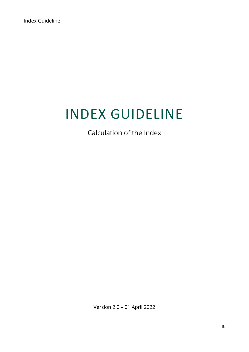# INDEX GUIDELINE

Calculation of the Index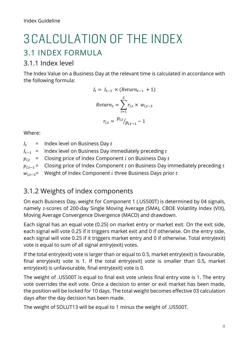# <span id="page-10-0"></span>3CALCULATION OF THE INDEX 3.1 INDEX FORMULA

#### <span id="page-10-2"></span><span id="page-10-1"></span>3.1.1 Index level

The Index Value on a Business Day at the relevant time is calculated in accordance with the following formula:

$$
I_{t} = I_{t-1} \times (Return_{t-1} + 1)
$$
  
Return<sub>t</sub> = 
$$
\sum_{i=1}^{2} r_{i,t} \times w_{i,t-3}
$$
  

$$
r_{i,t} = \frac{p_{i,t}}{p_{i,t-1}} - 1
$$

Where:

 $I_t$  = Index level on Business Day t

 $I_{t-1}$  = Index level on Business Day immediately preceding t

 $p_{i,t}$  = Closing price of Index Component *i* on Business Day *t* 

 $p_{i,t-1}$  = Closing price of Index Component *i* on Business Day immediately preceding t

 $w_{i,t-3}$ = Weight of Index Component *i* three Business Days prior *t* 

### <span id="page-10-3"></span>3.1.2 Weights of index components

On each Business Day, weight for Component 1 (.US500T) is determined by 04 signals, namely z-scores of 200-day Single Moving Average (SMA), CBOE Volatility Index (VIX), Moving Average Convergence Divergence (MACD) and drawdown.

Each signal has an equal vote (0.25) on market entry or market exit. On the exit side, each signal will vote 0.25 if it triggers market exit and 0 if otherwise. On the entry side, each signal will vote 0.25 if it triggers market entry and 0 if otherwise. Total entry(exit) vote is equal to sum of all signal entry(exit) votes.

If the total entry(exit) vote is larger than or equal to 0.5, market entry(exit) is favourable, final entry(exit) vote is 1. If the total entry(exit) vote is smaller than 0.5, market entry(exit) is unfavourable, final entry(exit) vote is 0.

The weight of .US500T is equal to final exit vote unless final entry vote is 1. The entry vote overrides the exit vote. Once a decision to enter or exit market has been made, the position will be locked for 10 days. The total weight becomes effective 03 calculation days after the day decision has been made.

The weight of SOLUT13 will be equal to 1 minus the weight of .US500T.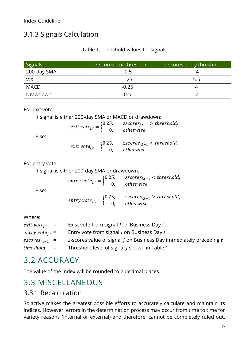### <span id="page-11-0"></span>3.1.3 Signals Calculation

#### Table 1. Threshold values for signals

| Signals     | z-scores exit threshold | z-scores entry threshold ' |
|-------------|-------------------------|----------------------------|
| 200-day SMA | $-0.5$                  | -4                         |
| <b>VIX</b>  | 1.25                    | 5.5                        |
| <b>MACD</b> | $-0.25$                 |                            |
| Drawdown    |                         | $\blacksquare$             |

For exit vote:

If signal is either 200-day SMA or MACD or drawdown:

$$
exit\ vote_{j,t} = \begin{cases} 0.25, & zscores_{j,t-1} > threshold_j \\ 0, & otherwise \end{cases}
$$

Else:

|  | exit $vote_{j,t} = \begin{cases} 0.25, & zscores_{j,t-1} < threshold_j \\ 0, & otherwise \end{cases}$ |  |
|--|-------------------------------------------------------------------------------------------------------|--|
|  |                                                                                                       |  |

For entry vote:

If signal is either 200-day SMA or drawdown:

| Else: | entry $vote_{j,t} = \begin{cases} 0.25, & zscores_{j,t-1} < threshold_j \\ 0, & otherwise \end{cases}$ |
|-------|--------------------------------------------------------------------------------------------------------|
|       | entry $vote_{j,t} = \begin{cases} 0.25, & zscores_{j,t-1} > threshold_j \\ 0, & otherwise \end{cases}$ |

Where:

| $exit\ vote_{i.t}$ =      | Exist vote from signal <i>j</i> on Business Day <i>t</i>               |
|---------------------------|------------------------------------------------------------------------|
| entry vote $_{i,t}$ =     | Entry vote from signal j on Business Day t                             |
| zscores <sub>it-1</sub> = | z-scores value of signal $j$ on Business Day immediately preceding $t$ |
| $threshold_i$ =           | Threshold level of signal <i>j</i> shown in Table 1.                   |

## <span id="page-11-1"></span>3.2 ACCURACY

The value of the Index will be rounded to 2 decimal places.

## <span id="page-11-2"></span>3.3 MISCELLANEOUS

### <span id="page-11-3"></span>3.3.1 Recalculation

Solactive makes the greatest possible efforts to accurately calculate and maintain its indices. However, errors in the determination process may occur from time to time for variety reasons (internal or external) and therefore, cannot be completely ruled out.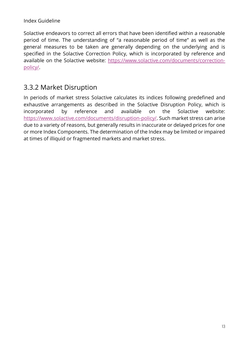Solactive endeavors to correct all errors that have been identified within a reasonable period of time. The understanding of "a reasonable period of time" as well as the general measures to be taken are generally depending on the underlying and is specified in the Solactive Correction Policy, which is incorporated by reference and available on the Solactive website: [https://www.solactive.com/documents/correction](https://www.solactive.com/documents/correction-policy/)[policy/.](https://www.solactive.com/documents/correction-policy/)

### <span id="page-12-0"></span>3.3.2 Market Disruption

In periods of market stress Solactive calculates its indices following predefined and exhaustive arrangements as described in the Solactive Disruption Policy, which is incorporated by reference and available on the Solactive website: [https://www.solactive.com/documents/disruption-policy/.](https://www.solactive.com/documents/disruption-policy/) Such market stress can arise due to a variety of reasons, but generally results in inaccurate or delayed prices for one or more Index Components. The determination of the Index may be limited or impaired at times of illiquid or fragmented markets and market stress.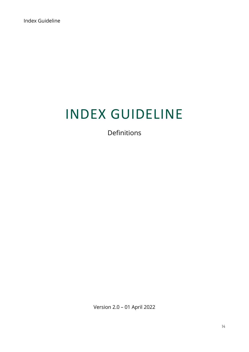# INDEX GUIDELINE

Definitions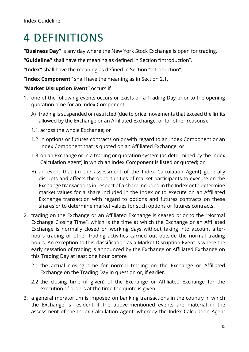# <span id="page-14-0"></span>4 DEFINITIONS

**"Business Day"** is any day where the New York Stock Exchange is open for trading.

**"Guideline"** shall have the meaning as defined in Section "Introduction".

**"Index"** shall have the meaning as defined in Section "Introduction".

**"Index Component"** shall have the meaning as in Section 2.1.

#### **"Market Disruption Event"** occurs if

- 1. one of the following events occurs or exists on a Trading Day prior to the opening quotation time for an Index Component:
	- A) trading is suspended or restricted (due to price movements that exceed the limits allowed by the Exchange or an Affiliated Exchange, or for other reasons):
	- 1.1.across the whole Exchange; or
	- 1.2.in options or futures contracts on or with regard to an Index Component or an Index Component that is quoted on an Affiliated Exchange; or
	- 1.3.on an Exchange or in a trading or quotation system (as determined by the Index Calculation Agent) in which an Index Component is listed or quoted; or
	- B) an event that (in the assessment of the Index Calculation Agent) generally disrupts and affects the opportunities of market participants to execute on the Exchange transactions in respect of a share included in the Index or to determine market values for a share included in the Index or to execute on an Affiliated Exchange transaction with regard to options and futures contracts on these shares or to determine market values for such options or futures contracts.
- 2. trading on the Exchange or an Affiliated Exchange is ceased prior to the "Normal Exchange Closing Time", which is the time at which the Exchange or an Affiliated Exchange is normally closed on working days without taking into account afterhours trading or other trading activities carried out outside the normal trading hours. An exception to this classification as a Market Disruption Event is where the early cessation of trading is announced by the Exchange or Affiliated Exchange on this Trading Day at least one hour before
	- 2.1.the actual closing time for normal trading on the Exchange or Affiliated Exchange on the Trading Day in question or, if earlier.
	- 2.2.the closing time (if given) of the Exchange or Affiliated Exchange for the execution of orders at the time the quote is given.
- 3. a general moratorium is imposed on banking transactions in the country in which the Exchange is resident if the above-mentioned events are material in the assessment of the Index Calculation Agent, whereby the Index Calculation Agent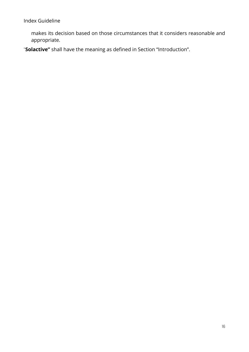makes its decision based on those circumstances that it considers reasonable and appropriate.

"**Solactive"** shall have the meaning as defined in Section "Introduction".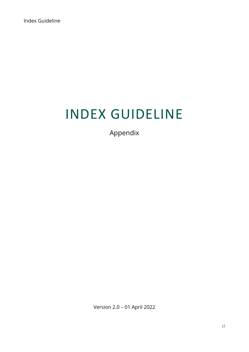# INDEX GUIDELINE

Appendix